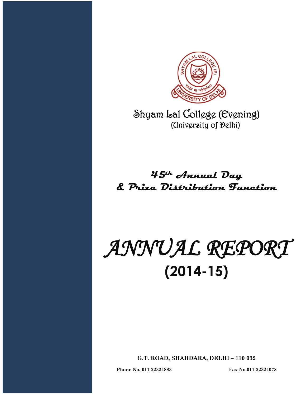

Shyam Lal College (Evening) (University of Delhi)

## **45th Annual Day & Prize Distribution Function**

# *ANNUAL REPORT*  **(2014-15)**

**G.T. ROAD, SHAHDARA, DELHI – 110 032**

**Phone No. 011-22324883 Fax No.011-22324078**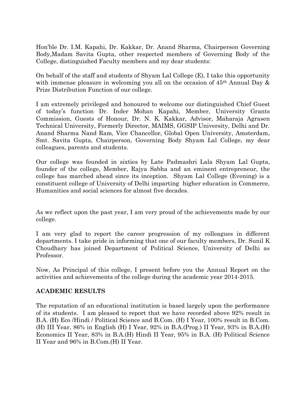Hon'ble Dr. I.M. Kapahi, Dr. Kakkar, Dr. Anand Sharma, Chairperson Governing Body,Madam Savita Gupta, other respected members of Governing Body of the College, distinguished Faculty members and my dear students:

On behalf of the staff and students of Shyam Lal College (E), I take this opportunity with immense pleasure in welcoming you all on the occasion of 45<sup>th</sup> Annual Day & Prize Distribution Function of our college.

I am extremely privileged and honoured to welcome our distinguished Chief Guest of today's function Dr. Inder Mohan Kapahi, Member, University Grants Commission, Guests of Honour, Dr. N. K. Kakkar, Advisor, Maharaja Agrasen Technical University, Formerly Director, MAIMS, GGSIP University, Delhi and Dr. Anand Sharma Nand Ram, Vice Chancellor, Global Open University, Amsterdam, Smt. Savita Gupta, Chairperson, Governing Body Shyam Lal College, my dear colleagues, parents and students.

Our college was founded in sixties by Late Padmashri Lala Shyam Lal Gupta, founder of the college, Member, Rajya Sabha and an eminent entrepreneur, the college has marched ahead since its inception. Shyam Lal College (Evening) is a constituent college of University of Delhi imparting higher education in Commerce, Humanities and social sciences for almost five decades.

As we reflect upon the past year, I am very proud of the achievements made by our college.

I am very glad to report the career progression of my colleagues in different departments. I take pride in informing that one of our faculty members, Dr. Sunil K Choudhary has joined Department of Political Science, University of Delhi as Professor.

Now, As Principal of this college, I present before you the Annual Report on the activities and achievements of the college during the academic year 2014-2015.

#### **ACADEMIC RESULTS**

The reputation of an educational institution is based largely upon the performance of its students. I am pleased to report that we have recorded above 92% result in B.A. (H) Eco /Hindi / Political Science and B.Com. (H) I Year, 100% result in B.Com. (H) III Year, 86% in English (H) I Year, 92% in B.A.(Prog.) II Year, 93% in B.A.(H) Economics II Year, 83% in B.A.(H) Hindi II Year, 95% in B.A. (H) Political Science II Year and 96% in B.Com.(H) II Year.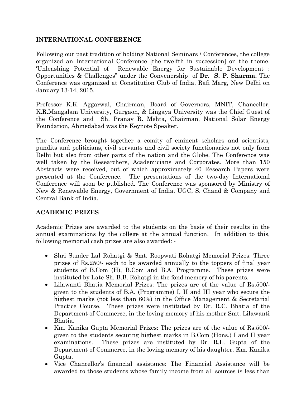#### **INTERNATIONAL CONFERENCE**

Following our past tradition of holding National Seminars / Conferences, the college organized an International Conference [the twelfth in succession] on the theme, 'Unleashing Potential of Renewable Energy for Sustainable Development : Opportunities & Challenges" under the Convenership of **Dr. S. P. Sharma.** The Conference was organized at Constitution Club of India, Rafi Marg, New Delhi on January 13-14, 2015.

Professor K.K. Aggarwal, Chairman, Board of Governors, MNIT, Chancellor, K.R.Mangalam University, Gurgaon, & Lingaya University was the Chief Guest of the Conference and Sh. Pranav R. Mehta, Chairman, National Solar Energy Foundation, Ahmedabad was the Keynote Speaker.

The Conference brought together a comity of eminent scholars and scientists, pundits and politicians, civil servants and civil society functionaries not only from Delhi but also from other parts of the nation and the Globe. The Conference was well taken by the Researchers, Academicians and Corporates. More than 150 Abstracts were received, out of which approximately 40 Research Papers were presented at the Conference. The presentations of the two-day International Conference will soon be published. The Conference was sponsored by Ministry of New & Renewable Energy, Government of India, UGC, S. Chand & Company and Central Bank of India.

#### **ACADEMIC PRIZES**

Academic Prizes are awarded to the students on the basis of their results in the annual examinations by the college at the annual function. In addition to this, following memorial cash prizes are also awarded: -

- Shri Sunder Lal Rohatgi & Smt. Roopwati Rohatgi Memorial Prizes: Three prizes of Rs.250/- each to be awarded annually to the toppers of final year students of B.Com (H), B.Com and B.A. Programme. These prizes were instituted by Late Sh. B.B. Rohatgi in the fond memory of his parents.
- Lilawanti Bhatia Memorial Prizes: The prizes are of the value of Rs.500/ given to the students of B.A. (Programme) I, II and III year who secure the highest marks (not less than 60%) in the Office Management & Secretarial Practice Course. These prizes were instituted by Dr. R.C. Bhatia of the Department of Commerce, in the loving memory of his mother Smt. Lilawanti Bhatia.
- Km. Kanika Gupta Memorial Prizes: The prizes are of the value of Rs.500/ given to the students securing highest marks in B.Com (Hons.) I and II year examinations. These prizes are instituted by Dr. R.L. Gupta of the Department of Commerce, in the loving memory of his daughter, Km. Kanika Gupta.
- Vice Chancellor's financial assistance: The Financial Assistance will be awarded to those students whose family income from all sources is less than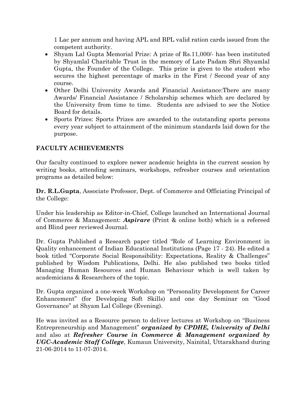1 Lac per annum and having APL and BPL valid ration cards issued from the competent authority.

- Shyam Lal Gupta Memorial Prize: A prize of Rs.11,000/- has been instituted by Shyamlal Charitable Trust in the memory of Late Padam Shri Shyamlal Gupta, the Founder of the College. This prize is given to the student who secures the highest percentage of marks in the First / Second year of any course.
- Other Delhi University Awards and Financial Assistance:There are many Awards/ Financial Assistance / Scholarship schemes which are declared by the University from time to time. Students are advised to see the Notice Board for details.
- Sports Prizes: Sports Prizes are awarded to the outstanding sports persons every year subject to attainment of the minimum standards laid down for the purpose.

#### **FACULTY ACHIEVEMENTS**

Our faculty continued to explore newer academic heights in the current session by writing books, attending seminars, workshops, refresher courses and orientation programs as detailed below:

**Dr. R.L.Gupta**, Associate Professor, Dept. of Commerce and Officiating Principal of the College:

Under his leadership as Editor-in-Chief, College launched an International Journal of Commerce & Management: *Aspirare* (Print & online both) which is a refereed and Blind peer reviewed Journal.

Dr. Gupta Published a Research paper titled "Role of Learning Environment in Quality enhancement of Indian Educational Institutions (Page 17 - 24). He edited a book titled "Corporate Social Responsibility: Expectations, Reality & Challenges" published by Wisdom Publications, Delhi. He also published two books titled Managing Human Resources and Human Behaviour which is well taken by academicians & Researchers of the topic.

Dr. Gupta organized a one-week Workshop on "Personality Development for Career Enhancement" (for Developing Soft Skills) and one day Seminar on "Good Governance" at Shyam Lal College (Evening).

He was invited as a Resource person to deliver lectures at Workshop on "Business Entrepreneurship and Management" *organized by CPDHE, University of Delhi* and also at *Refresher Course in Commerce & Management organized by UGC-Academic Staff College*, Kumaun University, Nainital, Uttarakhand during 21-06-2014 to 11-07-2014.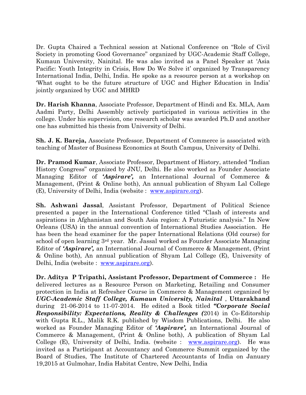Dr. Gupta Chaired a Technical session at National Conference on "Role of Civil Society in promoting Good Governance" organized by UGC-Academic Staff College, Kumaun University, Nainital. He was also invited as a Panel Speaker at 'Asia Pacific: Youth Integrity in Crisis, How Do We Solve it' organized by Transparency International India, Delhi, India. He spoke as a resource person at a workshop on 'What ought to be the future structure of UGC and Higher Education in India' jointly organized by UGC and MHRD

**Dr. Harish Khanna**, Associate Professor, Department of Hindi and Ex. MLA, Aam Aadmi Party, Delhi Assembly actively participated in various activities in the college. Under his supervision, one research scholar was awarded Ph.D and another one has submitted his thesis from University of Delhi.

**Sh. J. K. Bareja,** Associate Professor, Department of Commerce is associated with teaching of Master of Business Economics at South Campus, University of Delhi.

**Dr. Pramod Kumar**, Associate Professor, Department of History, attended "Indian History Congress" organized by JNU, Delhi. He also worked as Founder Associate Managing Editor of *'Aspirare',* an International Journal of Commerce & Management, (Print & Online both), An annual publication of Shyam Lal College (E), University of Delhi, India (website : [www.aspirare.org\)](http://www.aspirare.org/).

**Sh. Ashwani Jassal**, Assistant Professor, Department of Political Science presented a paper in the International Conference titled "Clash of interests and aspirations in Afghanistan and South Asia region: A Futuristic analysis." In New Orleans (USA) in the annual convention of International Studies Association. He has been the head examiner for the paper International Relations (Old course) for school of open learning 3rd year. Mr. Jassal worked as Founder Associate Managing Editor of *'Aspirare',* an International Journal of Commerce & Management, (Print & Online both), An annual publication of Shyam Lal College (E), University of Delhi, India (website : [www.aspirare.org\)](http://www.aspirare.org/).

**Dr. Aditya P Tripathi, Assistant Professor, Department of Commerce :** He delivered lectures as a Resource Person on Marketing, Retailing and Consumer protection in India at Refresher Course in Commerce & Management organized by *UGC-Academic Staff College, Kumaun University, Nainital* , **Uttarakhand** during 21-06-2014 to 11-07-2014. He edited a Book titled *"Corporate Social Responsibility: Expectations, Reality & Challenges (*2014) in Co-Editorship with Gupta R.L., Malik R.K. published by Wisdom Publications, Delhi. He also worked as Founder Managing Editor of *'Aspirare',* an International Journal of Commerce & Management, (Print & Online both), A publication of Shyam Lal College (E), University of Delhi, India. (website : <u>www.aspirare.org</u>). He was invited as a Participant at Accountancy and Commerce Summit organized by the Board of Studies, The Institute of Chartered Accountants of India on January 19,2015 at Gulmohar, India Habitat Centre, New Delhi, India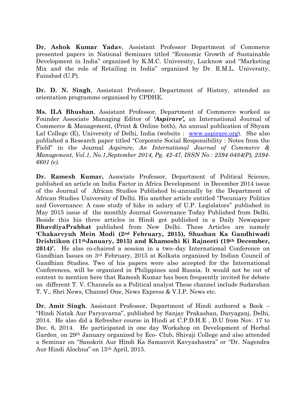**Dr. Ashok Kumar Yadav**, Assistant Professor Department of Commerce presented papers in National Seminars titled "Economic Growth of Sustainable Development in India" organized by K.M.C. University, Lucknow and "Marketing Mix and the role of Retailing in India" organized by Dr. R.M.L. University, Faizabad (U.P).

**Dr. D. N. Singh**, Assistant Professor, Department of History, attended an orientation programme organised by CPDHE.

**Ms. ILA Bhushan**, Assistant Professor, Department of Commerce worked as Founder Associate Managing Editor of *'Aspirare',* an International Journal of Commerce & Management, (Print & Online both), An annual publication of Shyam Lal College (E), University of Delhi, India (website : [www.aspirare.org\)](http://www.aspirare.org/). She also published a Research paper titled "Corporate Social Responsibility : Notes from the Field" in the Journal *Aspirare, An International Journal of Commerce & Management, Vol.1, No.1,September 2014, Pg. 42-47, ISSN No : 2394-0484(P), 2394- 6601 (e).* 

**Dr. Ramesh Kumar,** Associate Professor, Department of Political Science, published an article on India Factor in Africa Development in December 2014 issue of the Journal of African Studies Published bi-annually by the Department of African Studies University of Delhi. His another article entitled "Pecuniary Politics and Governance: A case study of hike in salary of U.P. Legislators" published in May 2015 issue of the monthly Journal Governance Today Published from Delhi. Beside this his three articles in Hindi got published in a Daily Newspaper **BhavdiyaPrabhat** published from New Delhi. These Articles are namely **'Chakarvyuh Mein Modi (2nd February, 2015), Shushan Ka Gandhiwadi Drishtikon (11thJanuary, 2015) and Khamoshi Ki Rajneeti (19th December, 2014)'.** He also co-chaired a session in a two–day International Conference on Gandhian Issues on 3rd February, 2015 at Kolkata organized by Indian Council of Gandhian Studies. Two of his papers were also accepted for the International Conferences, will be organized in Philippines and Russia. It would not be out of context to mention here that Ramesh Kumar has been frequently invited for debate on different T. V. Channels as a Political analyst These channel include Sudarshan T. V., Shri News, Channel One, News Express & V.I.P. News etc.

**Dr. Amit Singh**, Assistant Professor, Department of Hindi authored a Book – "Hindi Natak Aur Paryavarna", published by Sanjay Prakashan, Daryaganj, Delhi, 2014. He also did a Refresher course in Hindi at C.P.D.H.E , D.U from Nov. 17 to Dec. 6, 2014. He participated in one day Workshop on Development of Herbal Garden on 29th January organized by Eco- Club, Shivaji College and also attended a Seminar on "Sanskrit Aur Hindi Ka Samanvit Kavyashastra" or "Dr. Nagendra Aur Hindi Alochna" on 15th April, 2015.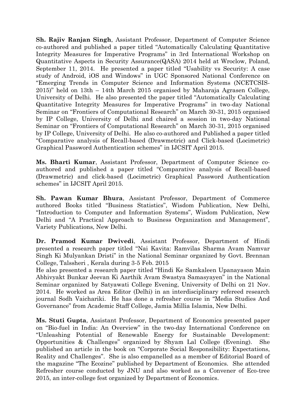**Sh. Rajiv Ranjan Singh**, Assistant Professor, Department of Computer Science co-authored and published a paper titled "Automatically Calculating Quantitative Integrity Measures for Imperative Programs" in 3rd International Workshop on Quantitative Aspects in Security Assurance(QASA) 2014 held at Wroclow, Poland, September 11, 2014. He presented a paper titled "Usability vs Security: A case study of Android, iOS and Windows" in UGC Sponsored National Conference on "Emerging Trends in Computer Science and Information Systems (NCETCSIS-2015)" held on 13th – 14th March 2015 organised by Maharaja Agrasen College, University of Delhi. He also presented the paper titled "Automatically Calculating Quantitative Integrity Measures for Imperative Programs" in two-day National Seminar on "Frontiers of Computational Research" on March 30-31, 2015 organised by IP College, University of Delhi and chaired a session in two-day National Seminar on "Frontiers of Computational Research" on March 30-31, 2015 organised by IP College, University of Delhi. He also co-authored and Published a paper titled "Comparative analysis of Recall-based (Drawmetric) and Click-based (Locimetric) Graphical Password Authentication schemes" in IJCSIT April 2015.

**Ms. Bharti Kumar**, Assistant Professor, Department of Computer Science coauthored and published a paper titled "Comparative analysis of Recall-based (Drawmetric) and click-based (Locimetric) Graphical Password Authentication schemes" in IJCSIT April 2015.

**Sh. Pawan Kumar Bhura**, Assistant Professor, Department of Commerce authored Books titled "Business Statistics", Wisdom Publication, New Delhi, "Introduction to Computer and Information Systems", Wisdom Publication, New Delhi and "A Practical Approach to Business Organization and Management", Variety Publications, New Delhi.

**Dr. Pramod Kumar Dwivedi**, Assistant Professor, Department of Hindi presented a research paper titled "Nai Kavita: Ramvilas Sharma Avam Namvar Singh Ki Mulyankan Dristi" in the National Seminar organized by Govt. Brennan College, Talssheri , Kerala during 3-5 Feb. 2015

He also presented a research paper titled "Hindi Ke Samkaleen Upanayason Main Abhivyakt Bunkar Jeevan Ki Aarthik Avam Swastya Samasyayen" in the National Seminar organized by Satyawati College Evening, University of Delhi on 21 Nov. 2014. He worked as Area Editor (Delhi) in an interdisciplinary refereed research journal Sodh Vaichariki. He has done a refresher course in "Media Studies And Governance" from Academic Staff College, Jamia Millia Islamia, New Delhi.

**Ms. Stuti Gupta**, Assistant Professor, Department of Economics presented paper on "Bio-fuel in India: An Overview" in the two-day International Conference on "Unleashing Potential of Renewable Energy for Sustainable Development: Opportunities & Challenges" organized by Shyam Lal College (Evening). She published an article in the book on "Corporate Social Responsibility: Expectations, Reality and Challenges". She is also empanelled as a member of Editorial Board of the magazine "The Ecozine" published by Department of Economics. She attended Refresher course conducted by JNU and also worked as a Convener of Eco-tree 2015, an inter-college fest organized by Department of Economics.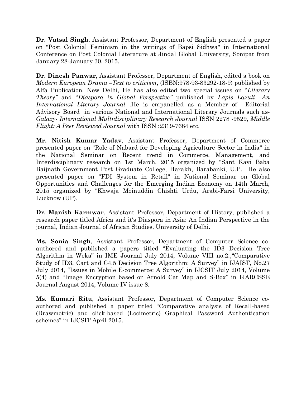**Dr. Vatsal Singh**, Assistant Professor, Department of English presented a paper on "Post Colonial Feminism in the writings of Bapsi Sidhwa" in International Conference on Post Colonial Literature at Jindal Global University, Sonipat from January 28-January 30, 2015.

**Dr. Dinesh Panwar**, Assistant Professor, Department of English, edited a book on *Modern European Drama –Text to criticism*, (ISBN:978-93-83292-18-9) published by Alfa Publication, New Delhi, He has also edited two special issues on "*Literary Theory"* and "*Diaspora in Global Perspective"* published by *Lapis Lazuli –An International Literary Journal* .He is empanelled as a Member of Editorial Advisory Board in various National and International Literary Journals such as-*Galaxy- International Multidisciplinary Research Journal* ISSN 2278 -9529, *Middle Flight: A Peer Reviewed Journal* with ISSN :2319-7684 etc.

**Mr. Nitish Kumar Yadav**, Assistant Professor, Department of Commerce presented paper on "Role of Nabard for Developing Agriculture Sector in India" in the National Seminar on Recent trend in Commerce, Management, and Interdisciplinary research on 1st March, 2015 organized by "Sant Kavi Baba Baijnath Government Post Graduate College, Harakh, Barabanki, U.P. He also presented paper on "FDI System in Retail" in National Seminar on Global Opportunities and Challenges for the Emerging Indian Economy on 14th March, 2015 organized by "Khwaja Moinuddin Chishti Urdu, Arabi-Farsi University, Lucknow (UP).

**Dr. Manish Karmwar**, Assistant Professor, Department of History, published a research paper titled Africa and it's Diaspora in Asia: An Indian Perspective in the journal, Indian Journal of African Studies, University of Delhi.

**Ms. Sonia Singh**, Assistant Professor, Department of Computer Science coauthored and published a papers titled "Evaluating the ID3 Decision Tree Algorithm in Weka" in IME Journal July 2014, Volume VIII no.2.,"Comparative Study of ID3, Cart and C4.5 Decision Tree Algorithm: A Survey" in IJAIST, No.27 July 2014, "Issues in Mobile E-commerce: A Survey" in IJCSIT July 2014, Volume 5(4) and "Image Encryption based on Arnold Cat Map and S-Box" in IJARCSSE Journal August 2014, Volume IV issue 8.

**Ms. Kumari Ritu**, Assistant Professor, Department of Computer Science coauthored and published a paper titled "Comparative analysis of Recall-based (Drawmetric) and click-based (Locimetric) Graphical Password Authentication schemes" in IJCSIT April 2015.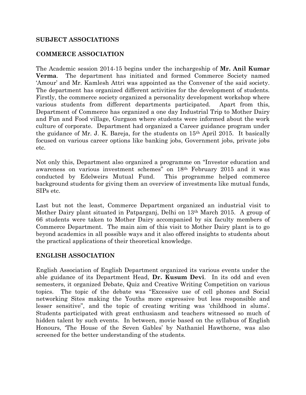#### **SUBJECT ASSOCIATIONS**

#### **COMMERCE ASSOCIATION**

The Academic session 2014-15 begins under the inchargeship of **Mr. Anil Kumar Verma**. The department has initiated and formed Commerce Society named 'Amour' and Mr. Kamlesh Attri was appointed as the Convener of the said society. The department has organized different activities for the development of students. Firstly, the commerce society organized a personality development workshop where various students from different departments participated. Apart from this, Department of Commerce has organized a one day Industrial Trip to Mother Dairy and Fun and Food village, Gurgaon where students were informed about the work culture of corporate. Department had organized a Career guidance program under the guidance of Mr. J. K. Bareja, for the students on 15th April 2015. It basically focused on various career options like banking jobs, Government jobs, private jobs etc.

Not only this, Department also organized a programme on "Investor education and awareness on various investment schemes" on 18th February 2015 and it was conducted by Edelweirs Mutual Fund. This programme helped commerce background students for giving them an overview of investments like mutual funds, SIPs etc.

Last but not the least, Commerce Department organized an industrial visit to Mother Dairy plant situated in Patparganj, Delhi on 13th March 2015. A group of 66 students were taken to Mother Dairy accompanied by six faculty members of Commerce Department. The main aim of this visit to Mother Dairy plant is to go beyond academics in all possible ways and it also offered insights to students about the practical applications of their theoretical knowledge.

#### **ENGLISH ASSOCIATION**

English Association of English Department organized its various events under the able guidance of its Department Head, **Dr. Kusum Devi**. In its odd and even semesters, it organized Debate, Quiz and Creative Writing Competition on various topics. The topic of the debate was "Excessive use of cell phones and Social networking Sites making the Youths more expressive but less responsible and lesser sensitive", and the topic of creating writing was 'childhood in slums'. Students participated with great enthusiasm and teachers witnessed so much of hidden talent by such events. In between, movie based on the syllabus of English Honours, 'The House of the Seven Gables' by Nathaniel Hawthorne, was also screened for the better understanding of the students.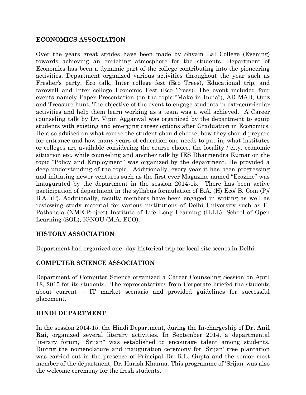#### **ECONOMICS ASSOCIATION**

Over the years great strides have been made by Shyam Lal College (Evening) towards achieving an enriching atmosphere for the students. Department of Economics has been a dynamic part of the college contributing into the pioneering activities. Department organized various activities throughout the year such as Fresher's party, Eco talk, Inter college fest (Eco Trees), Educational trip, and farewell and Inter college Economic Fest (Eco Trees). The event included four events namely Paper Presentation (on the topic "Make in India"), AD-MAD, Quiz and Treasure hunt. The objective of the event to engage students in extracurricular activities and help them learn working as a team was a well achieved. A Career counseling talk by Dr. Vipin Aggarwal was organized by the department to equip students with existing and emerging career options after Graduation in Economics. He also advised on what course the student should choose, how they should prepare for entrance and how many years of education one needs to put in, what institutes or colleges are available considering the course choice, the locality / city, economic situation etc. while counseling and another talk by IES Dharmendra Kumar on the topic "Policy and Employment" was organized by the department. He provided a deep understanding of the topic. Additionally, every year it has been progressing and initiating newer ventures such as the first ever Magazine named "Ecozine" was inaugurated by the department in the session 2014-15. There has been active participation of department in the syllabus formulation of B.A. (H) Eco/ B. Com (P)/ B.A. (P). Additionally, faculty members have been engaged in writing as well as reviewing study material for various institutions of Delhi University such as E-Pathshala (NME-Project) Institute of Life Long Learning (ILLL), School of Open Learning (SOL), IGNOU (M.A. ECO).

#### **HISTORY ASSOCIATION**

Department had organized one- day historical trip for local site scenes in Delhi.

#### **COMPUTER SCIENCE ASSOCIATION**

Department of Computer Science organized a Career Counseling Session on April 18, 2015 for its students. The representatives from Corporate briefed the students about current – IT market scenario and provided guidelines for successful placement.

#### **HINDI DEPARTMENT**

In the session 2014-15, the Hindi Department, during the In-chargeship of **Dr. Anil Rai**, organized several literary activities. In September 2014, a departmental literary forum, "Srijan" was established to encourage talent among students. During the nomenclature and inauguration ceremony for 'Srijan' tree plantation was carried out in the presence of Principal Dr. R.L. Gupta and the senior most member of the department, Dr. Harish Khanna. This programme of 'Srijan' was also the welcome ceremony for the fresh students.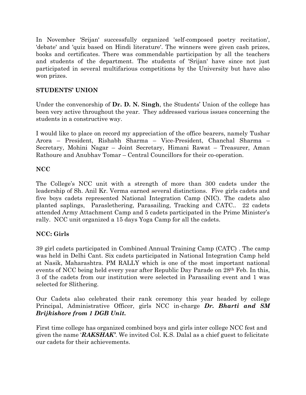In November 'Srijan' successfully organized 'self-composed poetry recitation', 'debate' and 'quiz based on Hindi literature'. The winners were given cash prizes, books and certificates. There was commendable participation by all the teachers and students of the department. The students of 'Srijan' have since not just participated in several multifarious competitions by the University but have also won prizes.

#### **STUDENTS' UNION**

Under the convenorship of **Dr. D. N. Singh**, the Students' Union of the college has been very active throughout the year. They addressed various issues concerning the students in a constructive way.

I would like to place on record my appreciation of the office bearers, namely Tushar Arora – President, Rishabh Sharma – Vice-President, Chanchal Sharma – Secretary, Mohini Nagar – Joint Secretary, Himani Rawat – Treasurer, Aman Rathoure and Anubhav Tomar – Central Councillors for their co-operation.

#### **NCC**

The College's NCC unit with a strength of more than 300 cadets under the leadership of Sh. Anil Kr. Verma earned several distinctions. Five girls cadets and five boys cadets represented National Integration Camp (NIC). The cadets also planted saplings, Paraslethering, Parasailing, Tracking and CATC.. 22 cadets attended Army Attachment Camp and 5 cadets participated in the Prime Minister's rally. NCC unit organized a 15 days Yoga Camp for all the cadets.

#### **NCC: Girls**

39 girl cadets participated in Combined Annual Training Camp (CATC) . The camp was held in Delhi Cant. Six cadets participated in National Integration Camp held at Nasik, Maharashtra. PM RALLY which is one of the most important national events of NCC being held every year after Republic Day Parade on  $28<sup>th</sup>$  Feb. In this, 3 of the cadets from our institution were selected in Parasailing event and 1 was selected for Slithering.

Our Cadets also celebrated their rank ceremony this year headed by college Principal, Administrative Officer, girls NCC in-charge *Dr. Bharti and SM Brijkishore from 1 DGB Unit.*

First time college has organized combined boys and girls inter college NCC fest and given the name '*RAKSHAK'*. We invited Col. K.S. Dalal as a chief guest to felicitate our cadets for their achievements.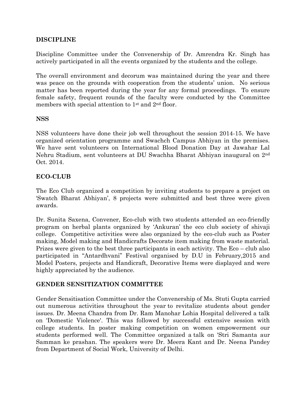#### **DISCIPLINE**

Discipline Committee under the Convenership of Dr. Amrendra Kr. Singh has actively participated in all the events organized by the students and the college.

The overall environment and decorum was maintained during the year and there was peace on the grounds with cooperation from the students' union. No serious matter has been reported during the year for any formal proceedings. To ensure female safety, frequent rounds of the faculty were conducted by the Committee members with special attention to 1<sup>st</sup> and 2<sup>nd</sup> floor.

#### **NSS**

NSS volunteers have done their job well throughout the session 2014-15. We have organized orientation programme and Swachch Campus Abhiyan in the premises. We have sent volunteers on International Blood Donation Day at Jawahar Lal Nehru Stadium, sent volunteers at DU Swachha Bharat Abhiyan inaugural on 2nd Oct. 2014.

#### **ECO-CLUB**

The Eco Club organized a competition by inviting students to prepare a project on 'Swatch Bharat Abhiyan', 8 projects were submitted and best three were given awards.

Dr. Sunita Saxena, Convener, Eco-club with two students attended an eco-friendly program on herbal plants organized by 'Ankuran' the eco club society of shivaji college. Competitive activities were also organized by the eco-club such as Poster making, Model making and Handicrafts Decorate item making from waste material. Prizes were given to the best three participants in each activity. The Eco – club also participated in "Antardhvani" Festival organised by D.U in February,2015 and Model Posters, projects and Handicraft, Decorative Items were displayed and were highly appreciated by the audience.

#### **GENDER SENSITIZATION COMMITTEE**

Gender Sensitisation Committee under the Convenership of Ms. Stuti Gupta carried out numerous activities throughout the year to revitalize students about gender issues. Dr. Meena Chandra from Dr. Ram Manohar Lohia Hospital delivered a talk on 'Domestic Violence'. This was followed by successful extensive session with college students. In poster making competition on women empowerment our students performed well. The Committee organized a talk on 'Stri Samanta aur Samman ke prashan. The speakers were Dr. Meera Kant and Dr. Neena Pandey from Department of Social Work, University of Delhi.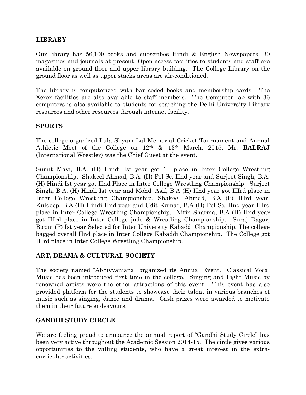#### **LIBRARY**

Our library has 56,100 books and subscribes Hindi & English Newspapers, 30 magazines and journals at present. Open access facilities to students and staff are available on ground floor and upper library building. The College Library on the ground floor as well as upper stacks areas are air-conditioned.

The library is computerized with bar coded books and membership cards. The Xerox facilities are also available to staff members. The Computer lab with 36 computers is also available to students for searching the Delhi University Library resources and other resources through internet facility.

#### **SPORTS**

The college organized Lala Shyam Lal Memorial Cricket Tournament and Annual Athletic Meet of the College on 12th & 13th March, 2015, Mr. **BALRAJ**  (International Wrestler) was the Chief Guest at the event.

Sumit Mavi, B.A.  $(H)$  Hindi Ist year got  $1<sup>st</sup>$  place in Inter College Wrestling Championship. Shakeel Ahmad, B.A. (H) Pol Sc. IInd year and Surjeet Singh, B.A. (H) Hindi Ist year got IInd Place in Inter College Wrestling Championship. Surjeet Singh, B.A. (H) Hindi Ist year and Mohd. Asif, B.A (H) IInd year got IIIrd place in Inter College Wrestling Championship. Shakeel Ahmad, B.A (P) IIIrd year, Kuldeep, B.A (H) Hindi IInd year and Udit Kumar, B.A (H) Pol Sc. IInd year IIIrd place in Inter College Wrestling Championship. Nitin Sharma, B.A (H) IInd year got IIIrd place in Inter College judo & Wrestling Championship. Suraj Dagar, B.com (P) Ist year Selected for Inter University Kabaddi Championship. The college bagged overall IInd place in Inter College Kabaddi Championship. The College got IIIrd place in Inter College Wrestling Championship.

#### **ART, DRAMA & CULTURAL SOCIETY**

The society named "Abhivyanjana" organized its Annual Event. Classical Vocal Music has been introduced first time in the college. Singing and Light Music by renowned artists were the other attractions of this event. This event has also provided platform for the students to showcase their talent in various branches of music such as singing, dance and drama. Cash prizes were awarded to motivate them in their future endeavours.

#### **GANDHI STUDY CIRCLE**

We are feeling proud to announce the annual report of "Gandhi Study Circle" has been very active throughout the Academic Session 2014-15. The circle gives various opportunities to the willing students, who have a great interest in the extracurricular activities.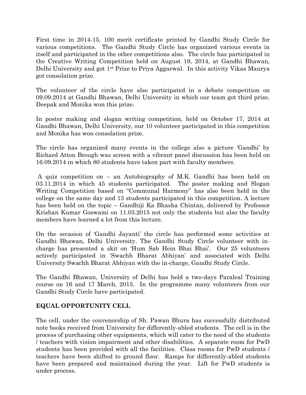First time in 2014-15, 100 merit certificate printed by Gandhi Study Circle for various competitions. The Gandhi Study Circle has organized various events in itself and participated in the other competitions also. The circle has participated in the Creative Writing Competition held on August 19, 2014, at Gandhi Bhawan, Delhi University and got 1st Prize to Priya Aggarwal. In this activity Vikas Maurya got consolation prize.

The volunteer of the circle have also participated in a debate competition on 09.09.2014 at Gandhi Bhawan, Delhi University in which our team got third prize. Deepak and Monika won this prize.

In poster making and slogan writing competition, held on October 17, 2014 at Gandhi Bhawan, Delhi University, our 10 volunteer participated in this competition and Monika has won consolation prize.

The circle has organized many events in the college also a picture 'Gandhi' by Richard Atton Brough was screen with a vibrant panel discussion has been held on 16.09.2014 in which 80 students have taken part with faculty members.

A quiz competition on – an Autobiography of M.K. Gandhi has been held on 03.11.2014 in which 45 students participated. The poster making and Slogan Writing Competition based on "Communal Harmony" has also been held in the college on the same day and 13 students participated in this competition. A lecture has been held on the topic – Gandhiji Ka Bhasha Chintan, delivered by Professor Krishan Kumar Goswami on 11.03.2015 not only the students but also the faculty members have learned a lot from this lecture.

On the occasion of 'Gandhi Jayanti' the circle has performed some activities at Gandhi Bhawan, Delhi University. The Gandhi Study Circle volunteer with incharge has presented a skit on 'Hum Sab Hein Bhai Bhai'. Our 25 volunteers actively participated in 'Swachh Bharat Abhiyan' and associated with Delhi University Swachh Bharat Abhiyan with the in-charge, Gandhi Study Circle.

The Gandhi Bhawan, University of Delhi has held a two-days Paraleal Training course on 16 and 17 March, 2015. In the programme many volunteers from our Gandhi Study Circle have participated.

#### **EQUAL OPPORTUNITY CELL**

The cell, under the convenorship of Sh. Pawan Bhura has successfully distributed note books received from University for differently-abled students. The cell is in the process of purchasing other equipments, which will cater to the need of the students / teachers with vision impairment and other disabilities. A separate room for PwD students has been provided with all the facilities. Class rooms for PwD students / teachers have been shifted to ground floor. Ramps for differently-abled students have been prepared and maintained during the year. Lift for PwD students is under process.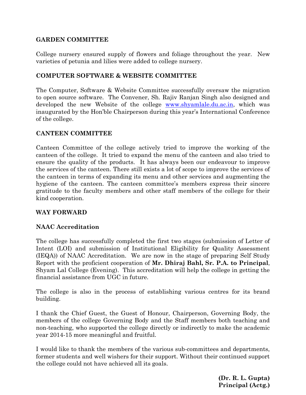#### **GARDEN COMMITTEE**

College nursery ensured supply of flowers and foliage throughout the year. New varieties of petunia and lilies were added to college nursery.

#### **COMPUTER SOFTWARE & WEBSITE COMMITTEE**

The Computer, Software & Website Committee successfully oversaw the migration to open source software. The Convener, Sh. Rajiv Ranjan Singh also designed and developed the new Website of the college [www.shyamlale.du.ac.in,](http://www.shyamlale.du.ac.in/) which was inaugurated by the Hon'ble Chairperson during this year's International Conference of the college.

#### **CANTEEN COMMITTEE**

Canteen Committee of the college actively tried to improve the working of the canteen of the college. It tried to expand the menu of the canteen and also tried to ensure the quality of the products. It has always been our endeavour to improve the services of the canteen. There still exists a lot of scope to improve the services of the canteen in terms of expanding its menu and other services and augmenting the hygiene of the canteen. The canteen committee's members express their sincere gratitude to the faculty members and other staff members of the college for their kind cooperation.

#### **WAY FORWARD**

#### **NAAC Accreditation**

The college has successfully completed the first two stages (submission of Letter of Intent (LOI) and submission of Institutional Eligibility for Quality Assessment (IEQA)) of NAAC Accreditation. We are now in the stage of preparing Self Study Report with the proficient cooperation of **Mr. Dhiraj Bahl, Sr. P.A. to Principal**, Shyam Lal College (Evening). This accreditation will help the college in getting the financial assistance from UGC in future.

The college is also in the process of establishing various centres for its brand building.

I thank the Chief Guest, the Guest of Honour, Chairperson, Governing Body, the members of the college Governing Body and the Staff members both teaching and non-teaching, who supported the college directly or indirectly to make the academic year 2014-15 more meaningful and fruitful.

I would like to thank the members of the various sub-committees and departments, former students and well wishers for their support. Without their continued support the college could not have achieved all its goals.

> **(Dr. R. L. Gupta) Principal (Actg.)**